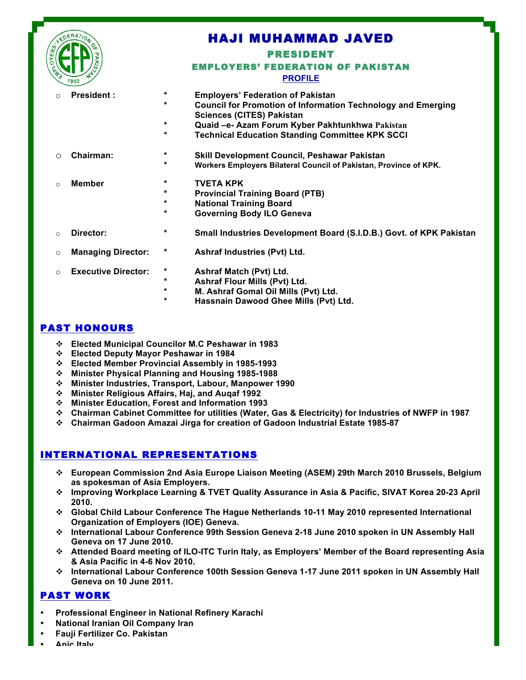

# HAJI MUHAMMAD JAVED PRESIDENT EMPLOYERS' FEDERATION OF PAKISTAN

l

#### **PROFILE**

o **President : \* Employers' Federation of Pakistan \* Council for Promotion of Information Technology and Emerging Sciences (CITES) Pakistan \* Quaid –e- Azam Forum Kyber Pakhtunkhwa Pakistan \* Technical Education Standing Committee KPK SCCI**  o **Chairman: \* Skill Development Council, Peshawar Pakistan \* Workers Employers Bilateral Council of Pakistan, Province of KPK.** o **Member \* TVETA KPK \* Provincial Training Board (PTB) \* National Training Board \* Governing Body ILO Geneva**  o **Director: \* Small Industries Development Board (S.I.D.B.) Govt. of KPK Pakistan**  o **Managing Director: \* Ashraf Industries (Pvt) Ltd.** o **Executive Director: \* Ashraf Match (Pvt) Ltd. \* Ashraf Flour Mills (Pvt) Ltd. \* M. Ashraf Gomal Oil Mills (Pvt) Ltd. \* Hassnain Dawood Ghee Mills (Pvt) Ltd.**

## PAST HONOURS

- v **Elected Municipal Councilor M.C Peshawar in 1983**
- v **Elected Deputy Mayor Peshawar in 1984**
- v **Elected Member Provincial Assembly in 1985-1993**
- v **Minister Physical Planning and Housing 1985-1988**
- v **Minister Industries, Transport, Labour, Manpower 1990**
- v **Minister Religious Affairs, Haj, and Auqaf 1992**
- v **Minister Education, Forest and Information 1993**
- v **Chairman Cabinet Committee for utilities (Water, Gas & Electricity) for Industries of NWFP in 1987**
- v **Chairman Gadoon Amazai Jirga for creation of Gadoon Industrial Estate 1985-87**

# INTERNATIONAL REPRESENTATIONS

- v **European Commission 2nd Asia Europe Liaison Meeting (ASEM) 29th March 2010 Brussels, Belgium as spokesman of Asia Employers.**
- v **Improving Workplace Learning & TVET Quality Assurance in Asia & Pacific, SIVAT Korea 20-23 April 2010.**
- v **Global Child Labour Conference The Hague Netherlands 10-11 May 2010 represented International Organization of Employers (IOE) Geneva.**
- v **International Labour Conference 99th Session Geneva 2-18 June 2010 spoken in UN Assembly Hall Geneva on 17 June 2010.**
- v **Attended Board meeting of ILO-ITC Turin Italy, as Employers' Member of the Board representing Asia & Asia Pacific in 4-6 Nov 2010.**
- v **International Labour Conference 100th Session Geneva 1-17 June 2011 spoken in UN Assembly Hall Geneva on 10 June 2011.**

### PAST WORK

- **Professional Engineer in National Refinery Karachi**
- **National Iranian Oil Company Iran**
- **Fauji Fertilizer Co. Pakistan**
- **Anic Italy**